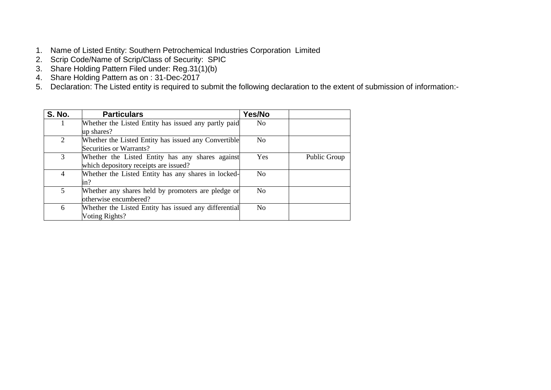- 1. Name of Listed Entity: Southern Petrochemical Industries Corporation Limited
- 2. Scrip Code/Name of Scrip/Class of Security: SPIC
- 3. Share Holding Pattern Filed under: Reg.31(1)(b)
- 4. Share Holding Pattern as on : 31-Dec-2017
- 5. Declaration: The Listed entity is required to submit the following declaration to the extent of submission of information:-

| <b>S. No.</b> | <b>Particulars</b>                                    | Yes/No         |              |
|---------------|-------------------------------------------------------|----------------|--------------|
|               | Whether the Listed Entity has issued any partly paid  | No.            |              |
|               | up shares?                                            |                |              |
| 2             | Whether the Listed Entity has issued any Convertible  | No.            |              |
|               | Securities or Warrants?                               |                |              |
| 3             | Whether the Listed Entity has any shares against      | <b>Yes</b>     | Public Group |
|               | which depository receipts are issued?                 |                |              |
| 4             | Whether the Listed Entity has any shares in locked-   | N <sub>o</sub> |              |
|               | in?                                                   |                |              |
| $5^{\circ}$   | Whether any shares held by promoters are pledge or    | No.            |              |
|               | otherwise encumbered?                                 |                |              |
| 6             | Whether the Listed Entity has issued any differential | N <sub>0</sub> |              |
|               | Voting Rights?                                        |                |              |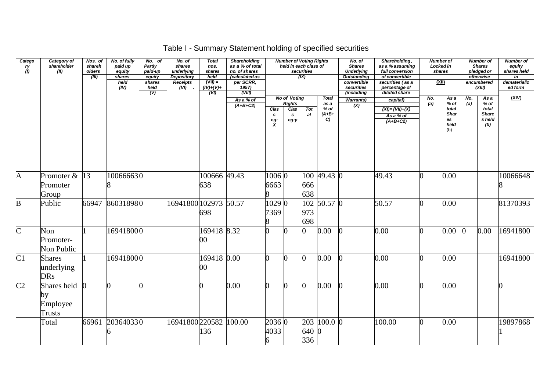# Table I - Summary Statement holding of specified securities

| Catego<br>ry<br>(I)     | Category of<br>shareholder<br>(II)             | Nos. of<br>shareh<br>olders<br>(III) | No. of fully<br>paid up<br>equity<br>shares<br>held<br>(IV) | No. of<br>Partly<br>paid-up<br>equity<br>shares<br>held<br>(V) | No. of<br>shares<br>underlying<br><b>Depository</b><br><b>Receipts</b><br>$(VI)$ - | <b>Total</b><br>nos.<br>shares<br>held<br>$(VII) =$<br>$(V)+(V)+$<br>$\overline{(VI)}$ | <b>Shareholding</b><br>as a % of total<br>no. of shares<br>(calculated as<br>per SCRR,<br>$\frac{1957}{(VIII)}$ |                             | <b>Number of Voting Rights</b><br>held in each class of | securities<br>(IX) |                                                 | No. of<br><b>Shares</b><br><b>Underlying</b><br><b>Outstanding</b><br>convertible<br>securities<br><i>(including</i> | Shareholding,<br>as a % assuming<br>full conversion<br>of convertible<br>securities (as a<br>percentage of<br>diluted share | <b>Number of</b><br><u>(XII)</u> | Locked in<br>shares                                |            | <b>Number of</b><br><b>Shares</b><br>pledged or<br>otherwise<br>encumbered<br>(XIII) | <b>Number of</b><br>equity<br>shares held<br>in<br>dematerializ<br>ed form |
|-------------------------|------------------------------------------------|--------------------------------------|-------------------------------------------------------------|----------------------------------------------------------------|------------------------------------------------------------------------------------|----------------------------------------------------------------------------------------|-----------------------------------------------------------------------------------------------------------------|-----------------------------|---------------------------------------------------------|--------------------|-------------------------------------------------|----------------------------------------------------------------------------------------------------------------------|-----------------------------------------------------------------------------------------------------------------------------|----------------------------------|----------------------------------------------------|------------|--------------------------------------------------------------------------------------|----------------------------------------------------------------------------|
|                         |                                                |                                      |                                                             |                                                                |                                                                                    |                                                                                        | As a % of<br>$(A+B+C2)$                                                                                         | Clas<br>s<br>$\frac{eg}{X}$ | No of Voting<br><b>Rights</b><br>Clas<br>s<br>eg:y      | Tot<br>al          | <b>Total</b><br>as a<br>$%$ of<br>$(A+B+$<br>C) | <b>Warrants)</b><br>$\overline{(\mathsf{X})}$                                                                        | capital)<br>$(XI) = (VII)+(X)$<br>As a % of<br>$(A+B+C2)$                                                                   | No.<br>(a)                       | As a<br>% of<br>total<br>Shar<br>es<br>held<br>(b) | No.<br>(a) | As a<br>$%$ of<br>total<br><b>Share</b><br>s held<br>(b)                             | (XIV)                                                                      |
| A                       | Promoter &<br>Promoter<br>Group                | 13                                   | 100666630                                                   |                                                                |                                                                                    | 100666 49.43<br>638                                                                    |                                                                                                                 | 1006 0<br>6663<br>8         |                                                         | 666<br>638         | 100 49.43 0                                     |                                                                                                                      | 49.43                                                                                                                       | ∩                                | 0.00                                               |            |                                                                                      | 10066648                                                                   |
| $\overline{B}$          | Public                                         | 66947                                | 860318980                                                   |                                                                | 16941800 102973 50.57                                                              | 698                                                                                    |                                                                                                                 | 1029 0<br>7369<br>8         |                                                         | 102<br>973<br>698  | 50.57 0                                         |                                                                                                                      | 50.57                                                                                                                       | 0                                | 0.00                                               |            |                                                                                      | 81370393                                                                   |
| $\overline{\mathsf{C}}$ | Non<br>Promoter-<br>Non Public                 |                                      | 169418000                                                   |                                                                |                                                                                    | 169418 8.32<br>00                                                                      |                                                                                                                 |                             |                                                         |                    | 0.00                                            |                                                                                                                      | 0.00                                                                                                                        |                                  | 0.00                                               |            | 0.00                                                                                 | 16941800                                                                   |
| C1                      | <b>Shares</b><br>underlying<br><b>DRs</b>      |                                      | 169418000                                                   |                                                                |                                                                                    | 169418 0.00<br>00                                                                      |                                                                                                                 | O.                          | ∩                                                       | N                  | 0.00                                            |                                                                                                                      | 0.00                                                                                                                        |                                  | 0.00                                               |            |                                                                                      | 16941800                                                                   |
| $\overline{\text{C2}}$  | Shares held<br>by<br>Employee<br><b>Trusts</b> | $\Omega$                             | $\Omega$                                                    |                                                                |                                                                                    |                                                                                        | 0.00                                                                                                            | 0                           | 0                                                       | 0                  | 0.00                                            | ⋂                                                                                                                    | 0.00                                                                                                                        | 0                                | 0.00                                               |            |                                                                                      |                                                                            |
|                         | Total                                          | 66961                                | 203640330                                                   |                                                                | 16941800220582                                                                     | 136                                                                                    | 100.00                                                                                                          | 2036 0<br>4033<br>6         |                                                         | 640 0<br>336       | 203 100.0 0                                     |                                                                                                                      | 100.00                                                                                                                      | <sup>0</sup>                     | 0.00                                               |            |                                                                                      | 19897868                                                                   |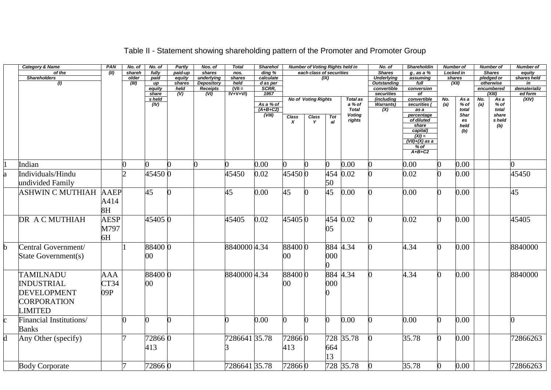|    | <b>Category &amp; Name</b> | PAN         | No. of         | No. of     | Partly           | Nos. of                  | <b>Total</b>   | <b>Sharehol</b>       |                  | <b>Number of Voting Rights held in</b> |                 |                         | No. of                                  | Shareholdin              | <b>Number of</b> |                      |     | <b>Number of</b>        | <b>Number of</b>  |
|----|----------------------------|-------------|----------------|------------|------------------|--------------------------|----------------|-----------------------|------------------|----------------------------------------|-----------------|-------------------------|-----------------------------------------|--------------------------|------------------|----------------------|-----|-------------------------|-------------------|
|    | of the                     | (II)        | shareh         | fully      | paid-up          | shares                   | nos.           | $\overline{ding}$ %   |                  | each class of securities               |                 |                         | <b>Shares</b>                           | $g$ , as a $%$           |                  | <b>Locked in</b>     |     | <b>Shares</b>           | equity            |
|    | <b>Shareholders</b><br>(1) |             | older<br>(III) | paid<br>иp | equity<br>shares | underlying<br>Depository | shares<br>held | calculate<br>d as per |                  |                                        | (IX)            |                         | <b>Underlying</b><br><b>Outstanding</b> | assuming<br>full         |                  | shares<br>(XII)      |     | pledged or<br>otherwise | shares held<br>in |
|    |                            |             |                | equity     | held             | <b>Receipts</b>          | $(VII =$       | SCRR,                 |                  |                                        |                 |                         | convertible                             | conversion               |                  |                      |     | encumbered              | dematerializ      |
|    |                            |             |                | share      | (V)              | $\overline{(V)}$         | $IV+V+VI$      | 1957                  |                  |                                        |                 |                         | securities                              | Οf                       |                  |                      |     | (XIII)                  | ed form           |
|    |                            |             |                | s held     |                  |                          |                |                       |                  | <b>No of Voting Rights</b>             |                 | <b>Total as</b>         | (including                              | convertible              | No.              | As a                 | No. | As a                    | (XIV)             |
|    |                            |             |                | (IV)       |                  |                          |                | As a % of             |                  |                                        |                 | a % of                  | <b>Warrants</b> )                       | securities (             | (a)              | $%$ of               | (a) | $%$ of                  |                   |
|    |                            |             |                |            |                  |                          |                | $(A+B+C2)$<br>(VIII)  |                  |                                        |                 | <b>Total</b>            | (X)                                     | as a                     |                  | total<br><b>Shar</b> |     | total<br>share          |                   |
|    |                            |             |                |            |                  |                          |                |                       | Class            | <b>Class</b><br>$\mathbf{v}$           | <b>Tot</b>      | <b>Voting</b><br>rights |                                         | percentage<br>of diluted |                  | es                   |     | s held                  |                   |
|    |                            |             |                |            |                  |                          |                |                       | $\boldsymbol{x}$ |                                        | a               |                         |                                         | share                    |                  | held                 |     | (b)                     |                   |
|    |                            |             |                |            |                  |                          |                |                       |                  |                                        |                 |                         |                                         | capital)                 |                  | (b)                  |     |                         |                   |
|    |                            |             |                |            |                  |                          |                |                       |                  |                                        |                 |                         |                                         | $(XI) =$                 |                  |                      |     |                         |                   |
|    |                            |             |                |            |                  |                          |                |                       |                  |                                        |                 |                         |                                         | (VII)+(X) as a<br>$%$ of |                  |                      |     |                         |                   |
|    |                            |             |                |            |                  |                          |                |                       |                  |                                        |                 |                         |                                         | $A+B+C2$                 |                  |                      |     |                         |                   |
|    |                            |             |                |            |                  |                          |                |                       |                  |                                        |                 |                         |                                         |                          |                  |                      |     |                         |                   |
|    | Indian                     |             | 0              |            |                  | $\Omega$                 |                | 0.00                  |                  |                                        | 0               | 0.00                    |                                         | 0.00                     | 0                | 0.00                 |     |                         |                   |
|    | Individuals/Hindu          |             | $\overline{2}$ | 45450 0    |                  |                          | 45450          | 0.02                  | 454500           |                                        | 454             | 0.02                    |                                         | 0.02                     | 0                | 0.00                 |     |                         | 45450             |
|    | undivided Family           |             |                |            |                  |                          |                |                       |                  |                                        | 50              |                         |                                         |                          |                  |                      |     |                         |                   |
|    |                            |             |                |            |                  |                          |                |                       |                  |                                        |                 |                         |                                         |                          |                  |                      |     |                         |                   |
|    | ASHWIN C MUTHIAH           | <b>AAEP</b> |                | 45         |                  |                          | 45             | 0.00                  | 45               |                                        | $\overline{45}$ | 0.00                    |                                         | 0.00                     | O.               | 0.00                 |     |                         | 45                |
|    |                            | A414        |                |            |                  |                          |                |                       |                  |                                        |                 |                         |                                         |                          |                  |                      |     |                         |                   |
|    |                            | 8H          |                |            |                  |                          |                |                       |                  |                                        |                 |                         |                                         |                          |                  |                      |     |                         |                   |
|    |                            |             |                |            |                  |                          |                |                       |                  |                                        |                 |                         |                                         |                          |                  |                      |     |                         |                   |
|    | DR A C MUTHIAH             | <b>AESP</b> |                | 45405 0    |                  |                          | 45405          | 0.02                  | 454050           |                                        | 454             | 0.02                    |                                         | 0.02                     | ∩                | 0.00                 |     |                         | 45405             |
|    |                            | M797        |                |            |                  |                          |                |                       |                  |                                        | 05              |                         |                                         |                          |                  |                      |     |                         |                   |
|    |                            |             |                |            |                  |                          |                |                       |                  |                                        |                 |                         |                                         |                          |                  |                      |     |                         |                   |
|    |                            | 6H          |                |            |                  |                          |                |                       |                  |                                        |                 |                         |                                         |                          |                  |                      |     |                         |                   |
|    | Central Government/        |             |                | 88400 0    |                  |                          | 8840000 4.34   |                       | 884000           |                                        |                 | 884 4.34                |                                         | 4.34                     | ∩                | 0.00                 |     |                         | 8840000           |
|    | State Government(s)        |             |                | $\rm 00$   |                  |                          |                |                       | 00               |                                        | 000             |                         |                                         |                          |                  |                      |     |                         |                   |
|    |                            |             |                |            |                  |                          |                |                       |                  |                                        |                 |                         |                                         |                          |                  |                      |     |                         |                   |
|    |                            |             |                |            |                  |                          |                |                       |                  |                                        |                 |                         |                                         |                          |                  |                      |     |                         |                   |
|    | <b>TAMILNADU</b>           | AAA         |                | 88400 0    |                  |                          | 8840000 4.34   |                       | 884000           |                                        | 884             | 4.34                    |                                         | 4.34                     | 0                | 0.00                 |     |                         | 8840000           |
|    | <b>INDUSTRIAL</b>          | CT34        |                | $00\,$     |                  |                          |                |                       | 00               |                                        | 000             |                         |                                         |                          |                  |                      |     |                         |                   |
|    |                            |             |                |            |                  |                          |                |                       |                  |                                        |                 |                         |                                         |                          |                  |                      |     |                         |                   |
|    | <b>DEVELOPMENT</b>         | 09P         |                |            |                  |                          |                |                       |                  |                                        |                 |                         |                                         |                          |                  |                      |     |                         |                   |
|    | <b>CORPORATION</b>         |             |                |            |                  |                          |                |                       |                  |                                        |                 |                         |                                         |                          |                  |                      |     |                         |                   |
|    |                            |             |                |            |                  |                          |                |                       |                  |                                        |                 |                         |                                         |                          |                  |                      |     |                         |                   |
|    | <b>LIMITED</b>             |             |                |            |                  |                          |                |                       |                  |                                        |                 |                         |                                         |                          |                  |                      |     |                         |                   |
|    | Financial Institutions/    |             | O              |            |                  |                          |                | 0.00                  |                  |                                        | O               | 0.00                    |                                         | 0.00                     | 0                | 0.00                 |     |                         |                   |
|    | <b>Banks</b>               |             |                |            |                  |                          |                |                       |                  |                                        |                 |                         |                                         |                          |                  |                      |     |                         |                   |
|    |                            |             |                |            |                  |                          |                |                       |                  |                                        |                 |                         |                                         |                          |                  |                      |     |                         |                   |
| d. | Any Other (specify)        |             |                | 728660     |                  |                          | 7286641 35.78  |                       | 728660           |                                        | 728             | 35.78                   |                                         | 35.78                    | 0                | 0.00                 |     |                         | 72866263          |
|    |                            |             |                | 413        |                  |                          |                |                       | 413              |                                        | 664             |                         |                                         |                          |                  |                      |     |                         |                   |
|    |                            |             |                |            |                  |                          |                |                       |                  |                                        | 3               |                         |                                         |                          |                  |                      |     |                         |                   |
|    |                            |             |                |            |                  |                          |                |                       |                  |                                        |                 |                         |                                         |                          |                  |                      |     |                         |                   |
|    | <b>Body Corporate</b>      |             |                | 728660     |                  |                          | 7286641 35.78  |                       | 728660           |                                        |                 | 728 35.78               |                                         | 35.78                    | 0                | 0.00                 |     |                         | 72866263          |

# Table II - Statement showing shareholding pattern of the Promoter and Promoter Group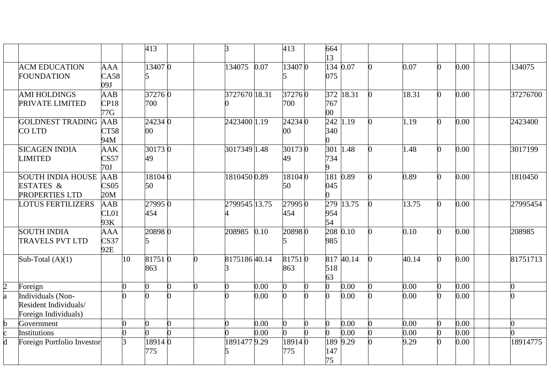|              |                                                                    |                                |    | 413                       |   |                | 3             |      | 413              |   | 664<br>13     |           |   |       |                |      |  |          |
|--------------|--------------------------------------------------------------------|--------------------------------|----|---------------------------|---|----------------|---------------|------|------------------|---|---------------|-----------|---|-------|----------------|------|--|----------|
|              | <b>ACM EDUCATION</b><br><b>FOUNDATION</b>                          | <b>AAA</b><br>CA58<br>09J      |    | 13407 0<br>5              |   |                | 134075        | 0.07 | 134070           |   | 075           | 134 0.07  | n | 0.07  | 0              | 0.00 |  | 134075   |
|              | <b>AMI HOLDINGS</b><br>PRIVATE LIMITED                             | <b>AAB</b><br>CP18<br>77G      |    | 372760<br>700             |   |                | 3727670 18.31 |      | 372760<br>700    |   | 767<br>$00\,$ | 372 18.31 |   | 18.31 | 0              | 0.00 |  | 37276700 |
|              | <b>GOLDNEST TRADING AAB</b><br><b>COLTD</b>                        | CT58<br>94M                    |    | 24234 0<br>00             |   |                | 2423400 1.19  |      | 242340<br>$00\,$ |   | 340           | 242 1.19  |   | 1.19  | 0              | 0.00 |  | 2423400  |
|              | <b>SICAGEN INDIA</b><br><b>LIMITED</b>                             | <b>AAK</b><br>CS57<br>70J      |    | $\overline{30173}0$<br>49 |   |                | 3017349 1.48  |      | 301730<br>49     |   | 734           | 301 1.48  | n | 1.48  | 0              | 0.00 |  | 3017199  |
|              | <b>SOUTH INDIA HOUSE</b><br>ESTATES &<br>PROPERTIES LTD            | AAB<br>CS <sub>05</sub><br>20M |    | 18104 0<br>50             |   |                | 1810450 0.89  |      | 181040<br>50     |   | 045           | 181 0.89  |   | 0.89  | 0              | 0.00 |  | 1810450  |
|              | <b>LOTUS FERTILIZERS</b>                                           | AAB<br>CL01<br>93K             |    | 27995 0<br>454            |   |                | 2799545 13.75 |      | 27995 0<br>454   |   | 954<br>54     | 279 13.75 |   | 13.75 | 0              | 0.00 |  | 27995454 |
|              | <b>SOUTH INDIA</b><br><b>TRAVELS PVT LTD</b>                       | <b>AAA</b><br>CS37<br>92E      |    | 208980                    |   |                | 208985        | 0.10 | 208980           |   | 985           | 208 0.10  | O | 0.10  | $\overline{0}$ | 0.00 |  | 208985   |
|              | Sub-Total $(A)(1)$                                                 |                                | 10 | 817510<br>863             |   | 0              | 817518640.14  |      | 817510<br>863    |   | 518<br>63     | 817 40.14 |   | 40.14 | 0              | 0.00 |  | 81751713 |
|              | Foreign                                                            |                                | ∩  | $\Omega$                  | ∩ | $\overline{0}$ | O             | 0.00 | 0                | ∩ | ∩             | 0.00      | 0 | 0.00  | 0              | 0.00 |  | O.       |
| a            | Individuals (Non-<br>Resident Individuals/<br>Foreign Individuals) |                                |    |                           |   |                |               | 0.00 | n                | ∩ |               | 0.00      | n | 0.00  | 0              | 0.00 |  |          |
| b            | Government                                                         |                                | ∩  | 0                         | n |                |               | 0.00 | $\overline{0}$   | ∩ | ∩             | 0.00      | 0 | 0.00  | $\overline{0}$ | 0.00 |  |          |
| $\mathbf{c}$ | Institutions                                                       |                                | ∩  |                           |   |                |               | 0.00 |                  |   |               | 0.00      |   | 0.00  |                | 0.00 |  |          |
| d            | Foreign Portfolio Investor                                         |                                | 3  | 189140<br>775             |   |                | 18914779.29   |      | 189140<br>775    |   | 147<br>75     | 189 9.29  |   | 9.29  |                | 0.00 |  | 18914775 |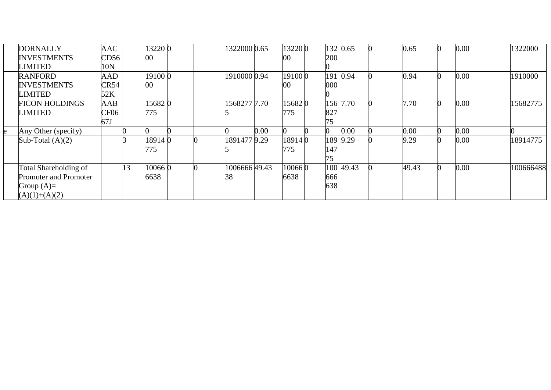| <b>DORNALLY</b>       | <b>AAC</b>       |    | 13220 0 |  | 1322000 0.65 |      | 132200 |     | 132 0.65  | 0.65  | 0.00 | 1322000   |
|-----------------------|------------------|----|---------|--|--------------|------|--------|-----|-----------|-------|------|-----------|
| <b>INVESTMENTS</b>    | CD56             |    | 00      |  |              |      | $00\,$ | 200 |           |       |      |           |
| <b>LIMITED</b>        | 10N              |    |         |  |              |      |        |     |           |       |      |           |
| <b>RANFORD</b>        | <b>AAD</b>       |    | 19100 0 |  | 1910000 0.94 |      | 191000 |     | 191 0.94  | 0.94  | 0.00 | 1910000   |
| <b>INVESTMENTS</b>    | CR54             |    | 00      |  |              |      | $00\,$ | 000 |           |       |      |           |
| <b>LIMITED</b>        | 52K              |    |         |  |              |      |        |     |           |       |      |           |
| <b>FICON HOLDINGS</b> | AAB              |    | 15682 0 |  | 1568277 7.70 |      | 156820 |     | 156 7.70  | 7.70  | 0.00 | 15682775  |
| <b>LIMITED</b>        | CF <sub>06</sub> |    | 775     |  |              |      | 775    | 827 |           |       |      |           |
|                       | 67J              |    |         |  |              |      |        | 75  |           |       |      |           |
| Any Other (specify)   |                  |    |         |  |              | 0.00 |        |     | 0.00      | 0.00  | 0.00 |           |
| Sub-Total $(A)(2)$    |                  |    | 189140  |  | 18914779.29  |      | 189140 |     | 189 9.29  | 9.29  | 0.00 | 18914775  |
|                       |                  |    | 775     |  |              |      | 775    | 147 |           |       |      |           |
|                       |                  |    |         |  |              |      |        | 75  |           |       |      |           |
| Total Shareholding of |                  | 13 | 100660  |  | 100666649.43 |      | 100660 |     | 100 49.43 | 49.43 | 0.00 | 100666488 |
| Promoter and Promoter |                  |    | 6638    |  | 38           |      | 6638   | 666 |           |       |      |           |
| Group $(A)=$          |                  |    |         |  |              |      |        | 638 |           |       |      |           |
| $(A)(1)+(A)(2)$       |                  |    |         |  |              |      |        |     |           |       |      |           |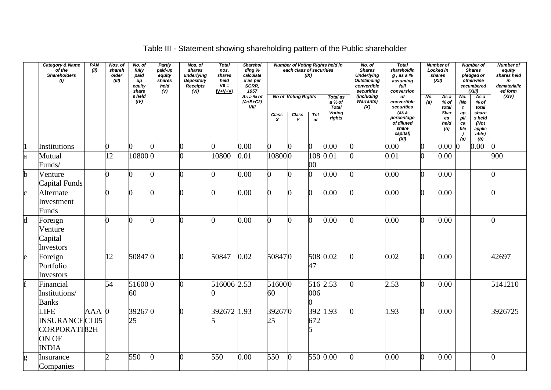# Table III - Statement showing shareholding pattern of the Public shareholder

|                | <b>Category &amp; Name</b><br>of the<br><b>Shareholders</b><br>(1)           | PAN<br>(II) | Nos. of<br>shareh<br>older<br>(III) | No. of<br>fully<br>paid<br>up<br>equity<br>share | <b>Partly</b><br>paid-up<br>equity<br>shares<br>held<br>(V) | Nos. of<br>shares<br>underlying<br>Depository<br>Receipts<br>(VI) | <b>Total</b><br>nos.<br>shares<br>held<br>$VII =$<br>$IV + V + VI$ | <b>Sharehol</b><br>ding %<br>calculate<br>d as per<br>SCRR,<br>1957 |                                  | each class of securities                 | (IX)             | <b>Number of Voting Rights held in</b>                               | No. of<br><b>Shares</b><br><b>Underlying</b><br><b>Outstanding</b><br>convertible<br>securities | <b>Total</b><br>shareholdin<br>$g$ , as a $%$<br>assuming<br>full<br>conversion                   |            | <b>Number of</b><br>Locked in<br>shares<br>(XII)    |                                                  | <b>Number of</b><br><b>Shares</b><br>pledged or<br>otherwise<br>encumbered<br>(XIII) | <b>Number of</b><br>equity<br>shares held<br>in<br>dematerializ<br>ed form |
|----------------|------------------------------------------------------------------------------|-------------|-------------------------------------|--------------------------------------------------|-------------------------------------------------------------|-------------------------------------------------------------------|--------------------------------------------------------------------|---------------------------------------------------------------------|----------------------------------|------------------------------------------|------------------|----------------------------------------------------------------------|-------------------------------------------------------------------------------------------------|---------------------------------------------------------------------------------------------------|------------|-----------------------------------------------------|--------------------------------------------------|--------------------------------------------------------------------------------------|----------------------------------------------------------------------------|
|                |                                                                              |             |                                     | s held<br>(IV)                                   |                                                             |                                                                   |                                                                    | As a % of<br>$(A+B+C2)$<br><b>VIII</b>                              | <b>Class</b><br>$\boldsymbol{x}$ | <b>No of Voting Rights</b><br>Class<br>Y | <b>Tot</b><br>al | <b>Total as</b><br>a % of<br><b>Total</b><br><b>Voting</b><br>rights | (including<br>Warrants)<br>(X)                                                                  | of<br>convertible<br>securities<br>(as a<br>percentage<br>of diluted<br>share<br>capital)<br>(XI) | No.<br>(a) | Asa<br>$%$ of<br>total<br>Shar<br>es<br>held<br>(b) | No.<br>(No<br>t<br>ap<br>pli<br>ca<br>ble<br>(a) | Asa<br>$%$ of<br>total<br>share<br>s held<br>(Not<br>applic<br>able)<br>(b)          | (XIV)                                                                      |
|                | Institutions                                                                 |             | ⋂                                   | 0                                                | 0                                                           |                                                                   |                                                                    | 0.00                                                                | 0                                | 0                                        |                  | 0.00                                                                 |                                                                                                 | 0.00                                                                                              |            | 0.00                                                |                                                  | 0.00                                                                                 | ∩                                                                          |
| $\mathbf{a}$   | Mutual<br>Funds/                                                             |             | 12                                  | 108000                                           |                                                             |                                                                   | 10800                                                              | 0.01                                                                | 108000                           |                                          | 00               | 108 0.01                                                             |                                                                                                 | 0.01                                                                                              |            | 0.00                                                |                                                  |                                                                                      | 900                                                                        |
| $\mathbf b$    | Venture<br>Capital Funds                                                     |             | ∩                                   | ∩                                                |                                                             |                                                                   |                                                                    | 0.00                                                                | 0                                |                                          |                  | 0.00                                                                 |                                                                                                 | 0.00                                                                                              | ∩          | 0.00                                                |                                                  |                                                                                      |                                                                            |
| $\mathbf c$    | Alternate<br>Investment<br>Funds                                             |             | ∩                                   | ∩                                                |                                                             |                                                                   |                                                                    | 0.00                                                                | O                                |                                          |                  | 0.00                                                                 |                                                                                                 | 0.00                                                                                              |            | 0.00                                                |                                                  |                                                                                      |                                                                            |
| $\overline{d}$ | Foreign<br>Venture<br>Capital<br>Investors                                   |             | 0                                   | 0                                                | n                                                           | ∩                                                                 | n                                                                  | 0.00                                                                | 0                                | n                                        |                  | 0.00                                                                 |                                                                                                 | 0.00                                                                                              | O.         | 0.00                                                |                                                  |                                                                                      | ሰ                                                                          |
| $\mathsf{e}$   | Foreign<br>Portfolio<br>Investors                                            |             | 12                                  | 508470                                           |                                                             |                                                                   | 50847                                                              | 0.02                                                                | 508470                           |                                          | 47               | 508 0.02                                                             |                                                                                                 | 0.02                                                                                              |            | 0.00                                                |                                                  |                                                                                      | 42697                                                                      |
| f              | Financial<br>Institutions/<br><b>Banks</b>                                   |             | 54                                  | 516000<br>60                                     |                                                             | ∩                                                                 | 516006 2.53                                                        |                                                                     | 516000<br>60                     |                                          | 006              | 516 2.53                                                             |                                                                                                 | 2.53                                                                                              |            | 0.00                                                |                                                  |                                                                                      | 5141210                                                                    |
|                | <b>LIFE</b><br><b>INSURANCECL05</b><br>CORPORATI82H<br>ON OF<br><b>INDIA</b> | $AAA$ 0     |                                     | 392670<br>25                                     |                                                             | n                                                                 | 392672 1.93                                                        |                                                                     | 392670<br>25                     |                                          | 672              | 392 1.93                                                             | 0                                                                                               | 1.93                                                                                              | O.         | 0.00                                                |                                                  |                                                                                      | 3926725                                                                    |
| g              | Insurance<br>Companies                                                       |             | $\overline{2}$                      | 550                                              | 0                                                           | 0                                                                 | 550                                                                | 0.00                                                                | 550                              | $\Omega$                                 |                  | 550 0.00                                                             | 0                                                                                               | 0.00                                                                                              | O.         | 0.00                                                |                                                  |                                                                                      | 0                                                                          |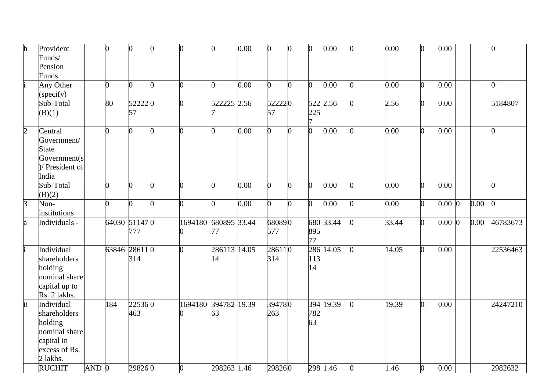| h               | Provident       |         | $\Omega$       | $\overline{0}$ | 0              | 0                    | <sup>0</sup> | 0.00 | $\Omega$ | $\overline{0}$ | O              | 0.00      | 0              | 0.00  | 0              | 0.00      |      | $\overline{0}$ |
|-----------------|-----------------|---------|----------------|----------------|----------------|----------------------|--------------|------|----------|----------------|----------------|-----------|----------------|-------|----------------|-----------|------|----------------|
|                 | Funds/          |         |                |                |                |                      |              |      |          |                |                |           |                |       |                |           |      |                |
|                 | Pension         |         |                |                |                |                      |              |      |          |                |                |           |                |       |                |           |      |                |
|                 | Funds           |         |                |                |                |                      |              |      |          |                |                |           |                |       |                |           |      |                |
|                 | Any Other       |         | $\overline{0}$ | $\Omega$       | O.             | O                    | O            | 0.00 | 0        | $\overline{0}$ | 0              | 0.00      | 0              | 0.00  | $\overline{0}$ | 0.00      |      | $\overline{0}$ |
|                 | (specify)       |         |                |                |                |                      |              |      |          |                |                |           |                |       |                |           |      |                |
|                 | Sub-Total       |         | 80             | 522220         |                | ∩                    | 522225 2.56  |      | 522220   |                |                | 522 2.56  | 0              | 2.56  | $\overline{0}$ | 0.00      |      | 5184807        |
|                 | (B)(1)          |         |                | 57             |                |                      |              |      | 57       |                | 225            |           |                |       |                |           |      |                |
|                 |                 |         |                |                |                |                      |              |      |          |                |                |           |                |       |                |           |      |                |
| $\overline{2}$  | Central         |         | 0              | 0              | 0              |                      | O            | 0.00 | 0        | 0              | $\overline{0}$ | 0.00      | 0              | 0.00  | $\overline{0}$ | 0.00      |      | $\overline{0}$ |
|                 | Government/     |         |                |                |                |                      |              |      |          |                |                |           |                |       |                |           |      |                |
|                 | <b>State</b>    |         |                |                |                |                      |              |      |          |                |                |           |                |       |                |           |      |                |
|                 | Government(s)   |         |                |                |                |                      |              |      |          |                |                |           |                |       |                |           |      |                |
|                 | )/ President of |         |                |                |                |                      |              |      |          |                |                |           |                |       |                |           |      |                |
|                 | India           |         |                |                |                |                      |              |      |          |                |                |           |                |       |                |           |      |                |
|                 | Sub-Total       |         | $\Omega$       | 0              | 0              | ∩                    | O            | 0.00 | O        | n              | O              | 0.00      | 0              | 0.00  | 0              | 0.00      |      | 0              |
|                 | (B)(2)          |         |                |                |                |                      |              |      |          |                |                |           |                |       |                |           |      |                |
| $\overline{3}$  | Non-            |         | 0              | 0              | $\overline{0}$ | 0                    | ∩            | 0.00 | 0        | 0              | $\overline{0}$ | 0.00      | 0              | 0.00  | $\overline{0}$ | $0.00\,0$ | 0.00 | $\Omega$       |
|                 | institutions    |         |                |                |                |                      |              |      |          |                |                |           |                |       |                |           |      |                |
| a               | Individuals -   |         | 64030 511470   |                |                | 1694180              | 680895 33.44 |      | 680890   |                |                | 680 33.44 | $\overline{0}$ | 33.44 | $\overline{0}$ | $0.00\,0$ | 0.00 | 46783673       |
|                 |                 |         |                | 777            |                |                      | 77           |      | 577      |                | 895            |           |                |       |                |           |      |                |
|                 |                 |         |                |                |                |                      |              |      |          |                | 77             |           |                |       |                |           |      |                |
|                 | Individual      |         | 63846 28611 0  |                |                |                      | 286113 14.05 |      | 286110   |                |                | 286 14.05 | $\overline{0}$ | 14.05 | 0              | 0.00      |      | 22536463       |
|                 | shareholders    |         |                | 314            |                |                      | 14           |      | 314      |                | 113            |           |                |       |                |           |      |                |
|                 | holding         |         |                |                |                |                      |              |      |          |                | 14             |           |                |       |                |           |      |                |
|                 | nominal share   |         |                |                |                |                      |              |      |          |                |                |           |                |       |                |           |      |                |
|                 | capital up to   |         |                |                |                |                      |              |      |          |                |                |           |                |       |                |           |      |                |
|                 | Rs. 2 lakhs.    |         |                |                |                |                      |              |      |          |                |                |           |                |       |                |           |      |                |
| $\overline{ii}$ | Individual      |         | 184            | 225360         |                | 1694180 394782 19.39 |              |      | 394780   |                |                | 394 19.39 | 0              | 19.39 | 0              | 0.00      |      | 24247210       |
|                 | shareholders    |         |                | 463            |                |                      | 63           |      | 263      |                | 782            |           |                |       |                |           |      |                |
|                 | holding         |         |                |                |                |                      |              |      |          |                | 63             |           |                |       |                |           |      |                |
|                 | nominal share   |         |                |                |                |                      |              |      |          |                |                |           |                |       |                |           |      |                |
|                 | capital in      |         |                |                |                |                      |              |      |          |                |                |           |                |       |                |           |      |                |
|                 | excess of Rs.   |         |                |                |                |                      |              |      |          |                |                |           |                |       |                |           |      |                |
|                 | 2 lakhs.        |         |                |                |                |                      |              |      |          |                |                |           |                |       |                |           |      |                |
|                 | <b>RUCHIT</b>   | $AND$ 0 |                | 298260         |                | 0                    | 298263 1.46  |      | 298260   |                |                | 298 1.46  | 0              | 1.46  | $\overline{0}$ | 0.00      |      | 2982632        |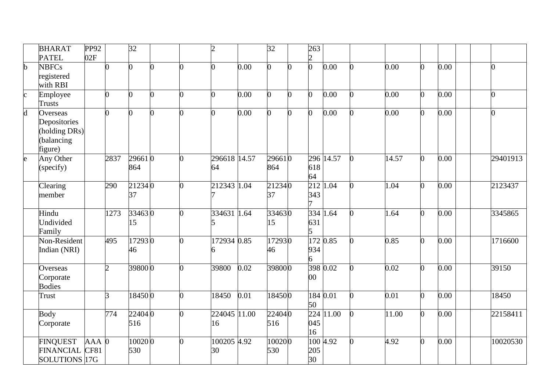|                         | <b>BHARAT</b><br><b>PATEL</b>                                      | PP92<br>02F     |                | 32            |                |   | h.                 |      | $\overline{32}$ |   | 263<br>$\overline{2}$ |           |                |       |                |      |  |                |
|-------------------------|--------------------------------------------------------------------|-----------------|----------------|---------------|----------------|---|--------------------|------|-----------------|---|-----------------------|-----------|----------------|-------|----------------|------|--|----------------|
| $\mathbf b$             | <b>NBFCs</b><br>registered<br>with RBI                             |                 | <sup>0</sup>   | 0             | $\overline{0}$ | ∩ |                    | 0.00 | 0               | 0 | $\overline{0}$        | 0.00      | $\Omega$       | 0.00  | $\overline{0}$ | 0.00 |  | $\overline{0}$ |
| $\overline{\mathrm{c}}$ | Employee<br><b>Trusts</b>                                          |                 | $\Omega$       | $\Omega$      | 0              |   |                    | 0.00 | O.              | n | 0                     | 0.00      |                | 0.00  | $\Omega$       | 0.00 |  | $\overline{0}$ |
| $\overline{d}$          | Overseas<br>Depositories<br>(holding DRs)<br>(balancing<br>figure) |                 | $\Omega$       |               |                |   |                    | 0.00 |                 | O |                       | 0.00      |                | 0.00  | $\overline{0}$ | 0.00 |  | $\overline{0}$ |
| $\overline{e}$          | Any Other<br>(specify)                                             |                 | 2837           | 296610<br>864 |                |   | 296618 14.57<br>64 |      | 296610<br>864   |   | 618<br>64             | 296 14.57 |                | 14.57 | $\overline{0}$ | 0.00 |  | 29401913       |
|                         | Clearing<br>member                                                 |                 | 290            | 212340<br>37  |                |   | 212343 1.04        |      | 212340<br>37    |   | 212<br>343            | 1.04      |                | 1.04  | $\overline{0}$ | 0.00 |  | 2123437        |
|                         | Hindu<br>Undivided<br>Family                                       |                 | 1273           | 334630<br>15  |                |   | 334631 1.64        |      | 334630<br>15    |   | 631<br>15             | 334 1.64  | $\Omega$       | 1.64  | $\overline{0}$ | 0.00 |  | 3345865        |
|                         | Non-Resident<br>Indian (NRI)                                       |                 | 495            | 172930<br>46  |                |   | 172934 0.85        |      | 172930<br>46    |   | 934<br>6              | 172 0.85  |                | 0.85  | $\overline{0}$ | 0.00 |  | 1716600        |
|                         | Overseas<br>Corporate<br><b>Bodies</b>                             |                 | $\overline{2}$ | 398000        |                |   | 39800              | 0.02 | 398000          |   | 398 0.02<br>$00\,$    |           |                | 0.02  | 0              | 0.00 |  | 39150          |
|                         | Trust                                                              |                 | 3              | 184500        |                |   | 18450              | 0.01 | 184500          |   | 184 0.01<br>50        |           | O.             | 0.01  | $\overline{0}$ | 0.00 |  | 18450          |
|                         | <b>Body</b><br>Corporate                                           |                 | 774            | 224040<br>516 |                |   | 224045 11.00<br>16 |      | 224040<br>516   |   | 224<br>045<br>16      | 11.00     | $\overline{0}$ | 11.00 | $\Omega$       | 0.00 |  | 22158411       |
|                         | <b>FINQUEST</b><br><b>FINANCIAL</b><br>SOLUTIONS 17G               | $AAA$ 0<br>CF81 |                | 100200<br>530 |                | ∩ | 100205 4.92<br>30  |      | 100200<br>530   |   | 205<br>30             | 100 4.92  | $\overline{0}$ | 4.92  | $\overline{0}$ | 0.00 |  | 10020530       |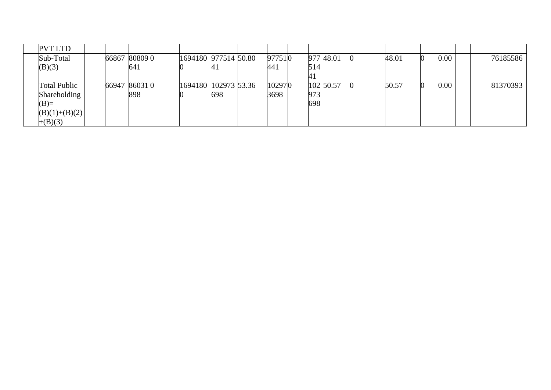| <b>PVT LTD</b>      |               |     |                      |      |        |     |           |       |      |  |          |
|---------------------|---------------|-----|----------------------|------|--------|-----|-----------|-------|------|--|----------|
| Sub-Total           | 66867 80809 0 |     | 1694180 977514 50.80 |      | 977510 |     | 977 48.01 | 48.01 | 0.00 |  | 76185586 |
| (B)(3)              |               | 641 |                      | 74 L | 441    | 514 |           |       |      |  |          |
|                     |               |     |                      |      |        |     |           |       |      |  |          |
| <b>Total Public</b> | 66947 860310  |     | 1694180 102973 53.36 |      | 102970 |     | 102 50.57 | 50.57 | 0.00 |  | 81370393 |
| Shareholding        |               | 898 |                      | 698  | 3698   | 973 |           |       |      |  |          |
| $(B)=$              |               |     |                      |      |        | 698 |           |       |      |  |          |
| $(B)(1)+(B)(2)$     |               |     |                      |      |        |     |           |       |      |  |          |
| $+(B)(3)$           |               |     |                      |      |        |     |           |       |      |  |          |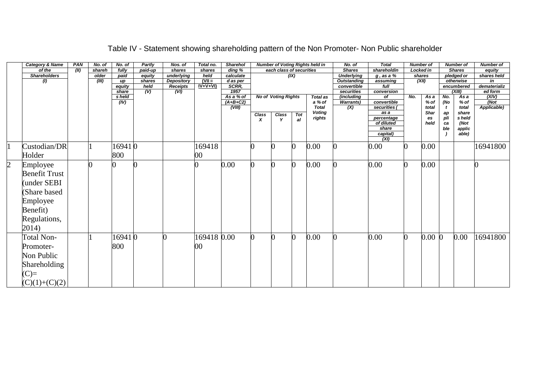|                | <b>Category &amp; Name</b> | PAN  | No. of | No. of          | Partly      | Nos. of                 | Total no.   | <b>Sharehol</b>     |                  |                            |      | <b>Number of Voting Rights held in</b> | No. of                    | <b>Total</b>             |     | <b>Number of</b> |              | <b>Number of</b>     | <b>Number of</b>        |
|----------------|----------------------------|------|--------|-----------------|-------------|-------------------------|-------------|---------------------|------------------|----------------------------|------|----------------------------------------|---------------------------|--------------------------|-----|------------------|--------------|----------------------|-------------------------|
|                | of the                     | (11) | shareh | fully           | paid-up     | shares                  | shares      | $\overline{diag\%}$ |                  | each class of securities   |      |                                        | <b>Shares</b>             | shareholdin              |     | Locked in        |              | <b>Shares</b>        | equity                  |
|                | <b>Shareholders</b>        |      | older  | paid            | equity      | underlying              | held        | calculate           |                  |                            | (IX) |                                        | <b>Underlying</b>         | $g$ , as a $%$           |     | shares           |              | pledged or           | shares held             |
|                | (1)                        |      | (III)  | up              | shares      | Depository              | $V =$       | d as per            |                  |                            |      |                                        | <b>Outstanding</b>        | assuming                 |     | (XII)            |              | otherwise            | in                      |
|                |                            |      |        | equity<br>share | held<br>(V) | <b>Receipts</b><br>(VI) | $IV+V+VI$   | SCRR,<br>1957       |                  |                            |      |                                        | convertible<br>securities | full<br>conversion       |     |                  |              | encumbered<br>(XIII) | dematerializ<br>ed form |
|                |                            |      |        | s held          |             |                         |             | As a % of           |                  | <b>No of Voting Rights</b> |      | <b>Total as</b>                        | (including                | of                       | No. | As a             | No.          | Asa                  | (XIV)                   |
|                |                            |      |        | (IV)            |             |                         |             | $(A+B+C2)$          |                  |                            |      | a % of                                 | <b>Warrants)</b>          | convertible              |     | % of             | (No          | $%$ of               | (Not)                   |
|                |                            |      |        |                 |             |                         |             | (VIII)              |                  |                            |      | <b>Total</b>                           | (X)                       | securities (             |     | total            | $\mathbf{t}$ | total                | Applicable)             |
|                |                            |      |        |                 |             |                         |             |                     | Class            | <b>Class</b>               | Tot  | <b>Voting</b>                          |                           | as a                     |     | Shar             | аp           | share                |                         |
|                |                            |      |        |                 |             |                         |             |                     | $\boldsymbol{x}$ | Y                          | al   | rights                                 |                           | percentage<br>of diluted |     | es<br>held       | pli<br>ca    | s held<br>(Not       |                         |
|                |                            |      |        |                 |             |                         |             |                     |                  |                            |      |                                        |                           | share                    |     |                  | ble          | applic               |                         |
|                |                            |      |        |                 |             |                         |             |                     |                  |                            |      |                                        |                           | capital)<br>(XI)         |     |                  |              | able)                |                         |
| l1             | Custodian/DR               |      |        | 169410          |             |                         | 169418      |                     |                  |                            | 0    | 0.00                                   |                           | 0.00                     |     | 0.00             |              |                      | 16941800                |
|                | Holder                     |      |        | 800             |             |                         | $00\,$      |                     |                  |                            |      |                                        |                           |                          |     |                  |              |                      |                         |
| $\overline{c}$ | Employee                   |      |        |                 |             |                         |             | 0.00                |                  |                            | 0    | 0.00                                   |                           | 0.00                     |     | 0.00             |              |                      |                         |
|                | <b>Benefit Trust</b>       |      |        |                 |             |                         |             |                     |                  |                            |      |                                        |                           |                          |     |                  |              |                      |                         |
|                | under SEBI                 |      |        |                 |             |                         |             |                     |                  |                            |      |                                        |                           |                          |     |                  |              |                      |                         |
|                |                            |      |        |                 |             |                         |             |                     |                  |                            |      |                                        |                           |                          |     |                  |              |                      |                         |
|                | Share based                |      |        |                 |             |                         |             |                     |                  |                            |      |                                        |                           |                          |     |                  |              |                      |                         |
|                | Employee                   |      |        |                 |             |                         |             |                     |                  |                            |      |                                        |                           |                          |     |                  |              |                      |                         |
|                | Benefit)                   |      |        |                 |             |                         |             |                     |                  |                            |      |                                        |                           |                          |     |                  |              |                      |                         |
|                | Regulations,               |      |        |                 |             |                         |             |                     |                  |                            |      |                                        |                           |                          |     |                  |              |                      |                         |
|                | 2014)                      |      |        |                 |             |                         |             |                     |                  |                            |      |                                        |                           |                          |     |                  |              |                      |                         |
|                | <b>Total Non-</b>          |      |        | 169410          |             |                         | 169418 0.00 |                     |                  |                            | 0    | 0.00                                   |                           | 0.00                     |     | $0.00\,0$        |              | 0.00                 | 16941800                |
|                | Promoter-                  |      |        | 800             |             |                         | 00          |                     |                  |                            |      |                                        |                           |                          |     |                  |              |                      |                         |
|                | Non Public                 |      |        |                 |             |                         |             |                     |                  |                            |      |                                        |                           |                          |     |                  |              |                      |                         |
|                | Shareholding               |      |        |                 |             |                         |             |                     |                  |                            |      |                                        |                           |                          |     |                  |              |                      |                         |
|                | $(C)=$                     |      |        |                 |             |                         |             |                     |                  |                            |      |                                        |                           |                          |     |                  |              |                      |                         |
|                | $(C)(1)+(C)(2)$            |      |        |                 |             |                         |             |                     |                  |                            |      |                                        |                           |                          |     |                  |              |                      |                         |

# Table IV - Statement showing shareholding pattern of the Non Promoter- Non Public shareholder